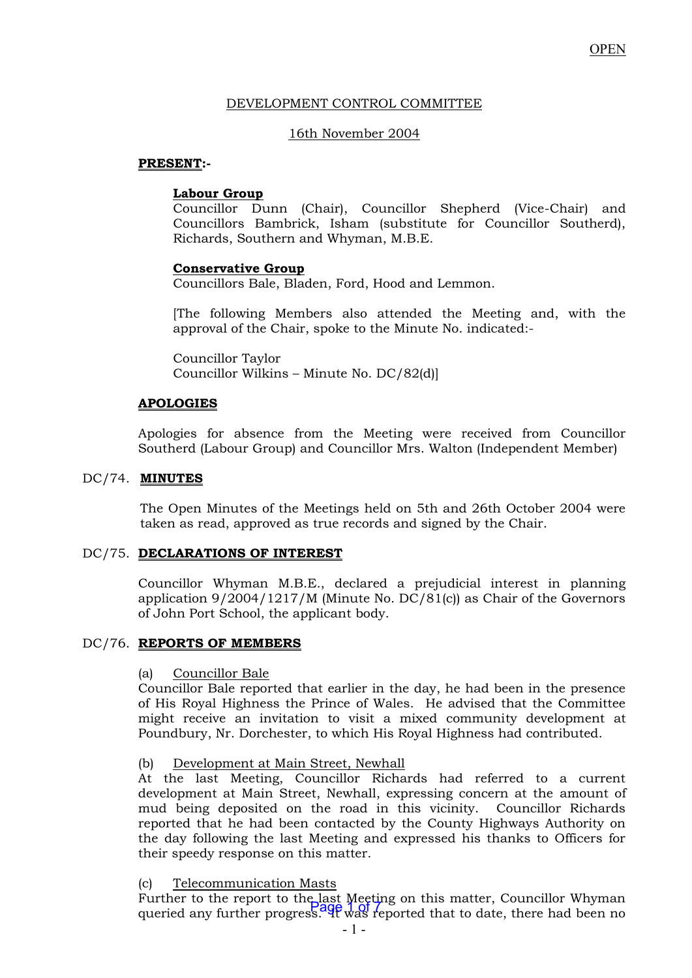## DEVELOPMENT CONTROL COMMITTEE

# 16th November 2004

## **PRESENT:-**

# **Labour Group**

 Councillor Dunn (Chair), Councillor Shepherd (Vice-Chair) and Councillors Bambrick, Isham (substitute for Councillor Southerd), Richards, Southern and Whyman, M.B.E.

# **Conservative Group**

Councillors Bale, Bladen, Ford, Hood and Lemmon.

 [The following Members also attended the Meeting and, with the approval of the Chair, spoke to the Minute No. indicated:-

Councillor Taylor Councillor Wilkins – Minute No. DC/82(d)]

# **APOLOGIES**

 Apologies for absence from the Meeting were received from Councillor Southerd (Labour Group) and Councillor Mrs. Walton (Independent Member)

# DC/74. **MINUTES**

 The Open Minutes of the Meetings held on 5th and 26th October 2004 were taken as read, approved as true records and signed by the Chair.

## DC/75. **DECLARATIONS OF INTEREST**

 Councillor Whyman M.B.E., declared a prejudicial interest in planning application 9/2004/1217/M (Minute No. DC/81(c)) as Chair of the Governors of John Port School, the applicant body.

## DC/76. **REPORTS OF MEMBERS**

## (a) Councillor Bale

Councillor Bale reported that earlier in the day, he had been in the presence of His Royal Highness the Prince of Wales. He advised that the Committee might receive an invitation to visit a mixed community development at Poundbury, Nr. Dorchester, to which His Royal Highness had contributed.

## (b) Development at Main Street, Newhall

At the last Meeting, Councillor Richards had referred to a current development at Main Street, Newhall, expressing concern at the amount of mud being deposited on the road in this vicinity. Councillor Richards reported that he had been contacted by the County Highways Authority on the day following the last Meeting and expressed his thanks to Officers for their speedy response on this matter.

(c) Telecommunication Masts

Further to the report to the last Meeting on this matter, Councillor Whyman<br>queried any further progress. It was reported that to date, there had been no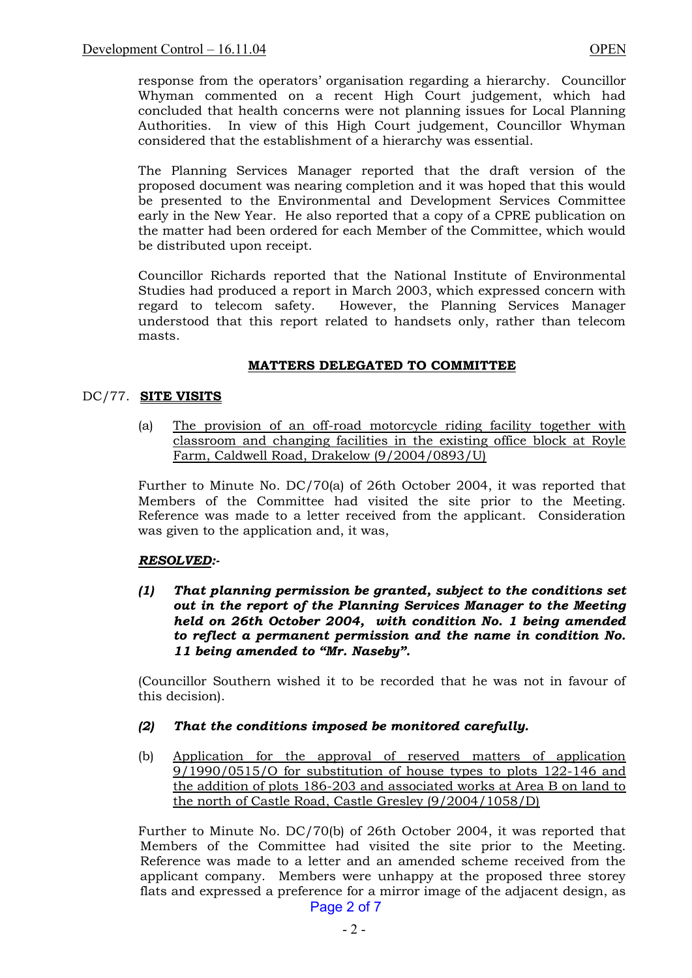response from the operators' organisation regarding a hierarchy. Councillor Whyman commented on a recent High Court judgement, which had concluded that health concerns were not planning issues for Local Planning Authorities. In view of this High Court judgement, Councillor Whyman considered that the establishment of a hierarchy was essential.

The Planning Services Manager reported that the draft version of the proposed document was nearing completion and it was hoped that this would be presented to the Environmental and Development Services Committee early in the New Year. He also reported that a copy of a CPRE publication on the matter had been ordered for each Member of the Committee, which would be distributed upon receipt.

Councillor Richards reported that the National Institute of Environmental Studies had produced a report in March 2003, which expressed concern with regard to telecom safety. However, the Planning Services Manager understood that this report related to handsets only, rather than telecom masts.

# **MATTERS DELEGATED TO COMMITTEE**

# DC/77. **SITE VISITS**

(a) The provision of an off-road motorcycle riding facility together with classroom and changing facilities in the existing office block at Royle Farm, Caldwell Road, Drakelow (9/2004/0893/U)

Further to Minute No. DC/70(a) of 26th October 2004, it was reported that Members of the Committee had visited the site prior to the Meeting. Reference was made to a letter received from the applicant. Consideration was given to the application and, it was,

## *RESOLVED:-*

 *(1) That planning permission be granted, subject to the conditions set out in the report of the Planning Services Manager to the Meeting held on 26th October 2004, with condition No. 1 being amended to reflect a permanent permission and the name in condition No. 11 being amended to "Mr. Naseby".*

(Councillor Southern wished it to be recorded that he was not in favour of this decision).

# *(2) That the conditions imposed be monitored carefully.*

(b) Application for the approval of reserved matters of application 9/1990/0515/O for substitution of house types to plots 122-146 and the addition of plots 186-203 and associated works at Area B on land to the north of Castle Road, Castle Gresley (9/2004/1058/D)

Further to Minute No. DC/70(b) of 26th October 2004, it was reported that Members of the Committee had visited the site prior to the Meeting. Reference was made to a letter and an amended scheme received from the applicant company. Members were unhappy at the proposed three storey flats and expressed a preference for a mirror image of the adjacent design, as Page 2 of 7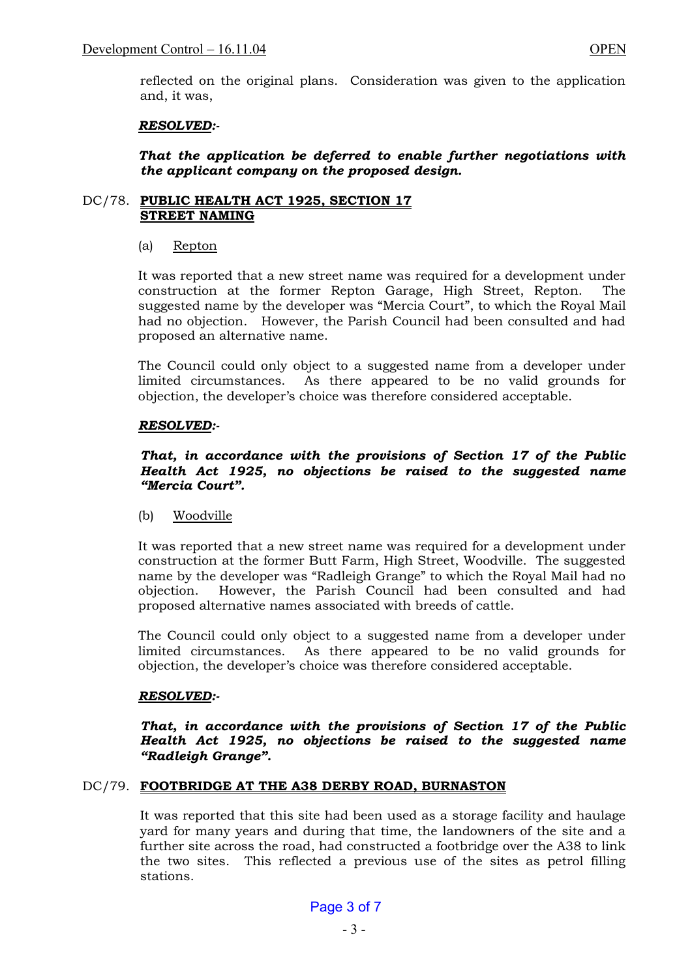reflected on the original plans. Consideration was given to the application and, it was,

## *RESOLVED:-*

## *That the application be deferred to enable further negotiations with the applicant company on the proposed design.*

### DC/78. **PUBLIC HEALTH ACT 1925, SECTION 17 STREET NAMING**

## (a) Repton

 It was reported that a new street name was required for a development under construction at the former Repton Garage, High Street, Repton. The suggested name by the developer was "Mercia Court", to which the Royal Mail had no objection. However, the Parish Council had been consulted and had proposed an alternative name.

 The Council could only object to a suggested name from a developer under limited circumstances. As there appeared to be no valid grounds for objection, the developer's choice was therefore considered acceptable.

## *RESOLVED:-*

## *That, in accordance with the provisions of Section 17 of the Public Health Act 1925, no objections be raised to the suggested name "Mercia Court".*

(b) Woodville

 It was reported that a new street name was required for a development under construction at the former Butt Farm, High Street, Woodville. The suggested name by the developer was "Radleigh Grange" to which the Royal Mail had no objection. However, the Parish Council had been consulted and had proposed alternative names associated with breeds of cattle.

 The Council could only object to a suggested name from a developer under limited circumstances. As there appeared to be no valid grounds for objection, the developer's choice was therefore considered acceptable.

## *RESOLVED:-*

*That, in accordance with the provisions of Section 17 of the Public Health Act 1925, no objections be raised to the suggested name "Radleigh Grange".*

## DC/79. **FOOTBRIDGE AT THE A38 DERBY ROAD, BURNASTON**

 It was reported that this site had been used as a storage facility and haulage yard for many years and during that time, the landowners of the site and a further site across the road, had constructed a footbridge over the A38 to link the two sites. This reflected a previous use of the sites as petrol filling stations.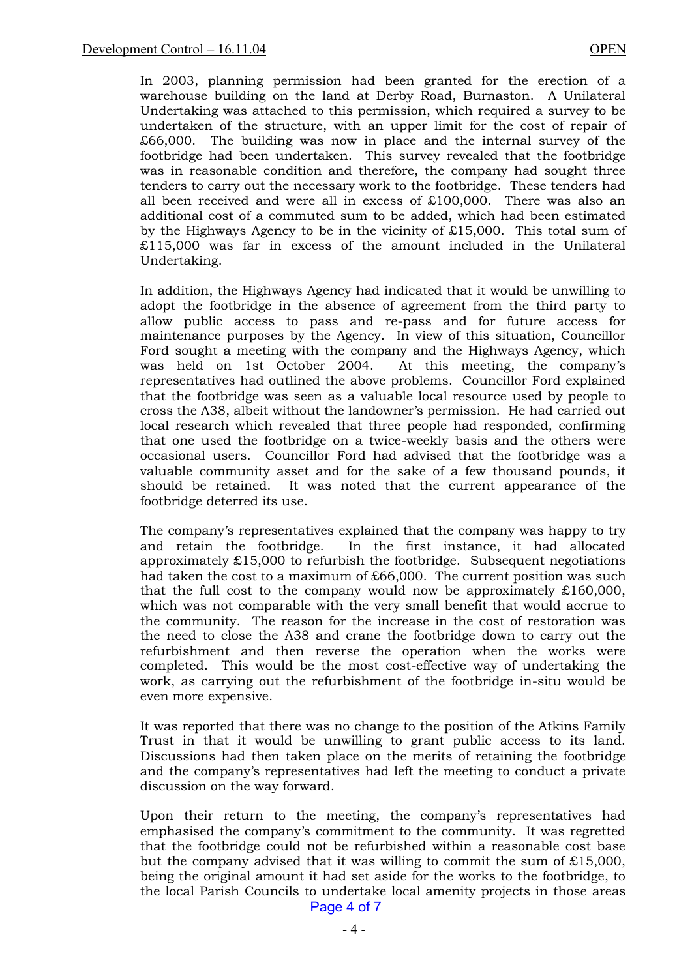In 2003, planning permission had been granted for the erection of a warehouse building on the land at Derby Road, Burnaston. A Unilateral Undertaking was attached to this permission, which required a survey to be undertaken of the structure, with an upper limit for the cost of repair of £66,000. The building was now in place and the internal survey of the footbridge had been undertaken. This survey revealed that the footbridge was in reasonable condition and therefore, the company had sought three tenders to carry out the necessary work to the footbridge. These tenders had all been received and were all in excess of £100,000. There was also an additional cost of a commuted sum to be added, which had been estimated by the Highways Agency to be in the vicinity of £15,000. This total sum of £115,000 was far in excess of the amount included in the Unilateral Undertaking.

 In addition, the Highways Agency had indicated that it would be unwilling to adopt the footbridge in the absence of agreement from the third party to allow public access to pass and re-pass and for future access for maintenance purposes by the Agency. In view of this situation, Councillor Ford sought a meeting with the company and the Highways Agency, which was held on 1st October 2004. At this meeting, the company's representatives had outlined the above problems. Councillor Ford explained that the footbridge was seen as a valuable local resource used by people to cross the A38, albeit without the landowner's permission. He had carried out local research which revealed that three people had responded, confirming that one used the footbridge on a twice-weekly basis and the others were occasional users. Councillor Ford had advised that the footbridge was a valuable community asset and for the sake of a few thousand pounds, it should be retained. It was noted that the current appearance of the footbridge deterred its use.

The company's representatives explained that the company was happy to try and retain the footbridge. In the first instance, it had allocated approximately £15,000 to refurbish the footbridge. Subsequent negotiations had taken the cost to a maximum of £66,000. The current position was such that the full cost to the company would now be approximately £160,000, which was not comparable with the very small benefit that would accrue to the community. The reason for the increase in the cost of restoration was the need to close the A38 and crane the footbridge down to carry out the refurbishment and then reverse the operation when the works were completed. This would be the most cost-effective way of undertaking the work, as carrying out the refurbishment of the footbridge in-situ would be even more expensive.

 It was reported that there was no change to the position of the Atkins Family Trust in that it would be unwilling to grant public access to its land. Discussions had then taken place on the merits of retaining the footbridge and the company's representatives had left the meeting to conduct a private discussion on the way forward.

Upon their return to the meeting, the company's representatives had emphasised the company's commitment to the community. It was regretted that the footbridge could not be refurbished within a reasonable cost base but the company advised that it was willing to commit the sum of  $£15,000$ , being the original amount it had set aside for the works to the footbridge, to the local Parish Councils to undertake local amenity projects in those areas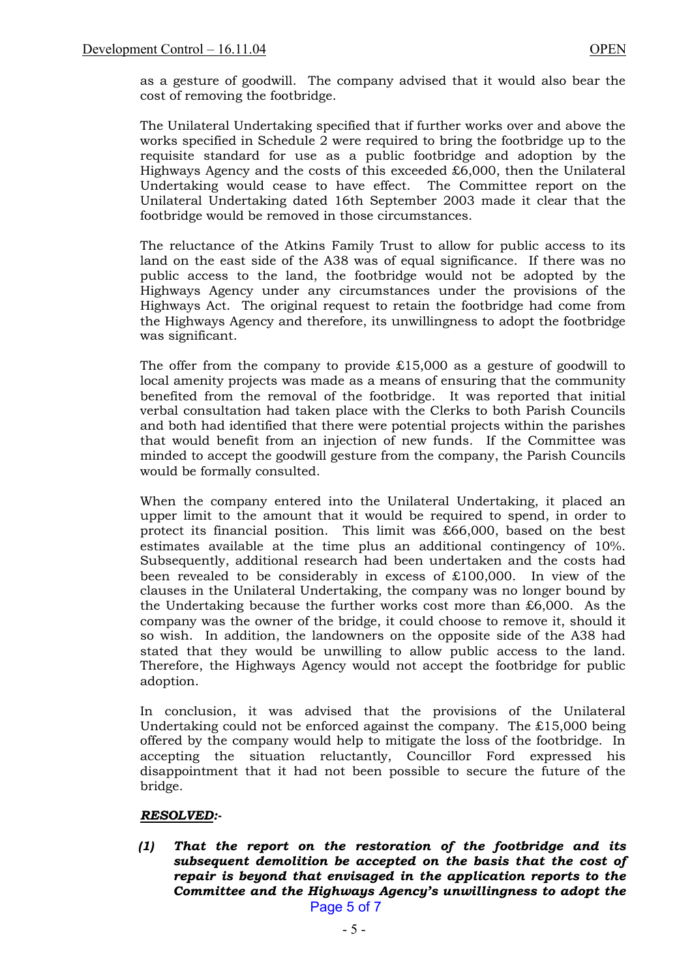as a gesture of goodwill. The company advised that it would also bear the cost of removing the footbridge.

 The Unilateral Undertaking specified that if further works over and above the works specified in Schedule 2 were required to bring the footbridge up to the requisite standard for use as a public footbridge and adoption by the Highways Agency and the costs of this exceeded  $£6,000$ , then the Unilateral Undertaking would cease to have effect. The Committee report on the Unilateral Undertaking dated 16th September 2003 made it clear that the footbridge would be removed in those circumstances.

 The reluctance of the Atkins Family Trust to allow for public access to its land on the east side of the A38 was of equal significance. If there was no public access to the land, the footbridge would not be adopted by the Highways Agency under any circumstances under the provisions of the Highways Act. The original request to retain the footbridge had come from the Highways Agency and therefore, its unwillingness to adopt the footbridge was significant.

 The offer from the company to provide £15,000 as a gesture of goodwill to local amenity projects was made as a means of ensuring that the community benefited from the removal of the footbridge. It was reported that initial verbal consultation had taken place with the Clerks to both Parish Councils and both had identified that there were potential projects within the parishes that would benefit from an injection of new funds. If the Committee was minded to accept the goodwill gesture from the company, the Parish Councils would be formally consulted.

 When the company entered into the Unilateral Undertaking, it placed an upper limit to the amount that it would be required to spend, in order to protect its financial position. This limit was £66,000, based on the best estimates available at the time plus an additional contingency of 10%. Subsequently, additional research had been undertaken and the costs had been revealed to be considerably in excess of £100,000. In view of the clauses in the Unilateral Undertaking, the company was no longer bound by the Undertaking because the further works cost more than £6,000. As the company was the owner of the bridge, it could choose to remove it, should it so wish. In addition, the landowners on the opposite side of the A38 had stated that they would be unwilling to allow public access to the land. Therefore, the Highways Agency would not accept the footbridge for public adoption.

 In conclusion, it was advised that the provisions of the Unilateral Undertaking could not be enforced against the company. The  $£15,000$  being offered by the company would help to mitigate the loss of the footbridge. In accepting the situation reluctantly, Councillor Ford expressed his disappointment that it had not been possible to secure the future of the bridge.

## *RESOLVED:-*

 *(1) That the report on the restoration of the footbridge and its subsequent demolition be accepted on the basis that the cost of repair is beyond that envisaged in the application reports to the Committee and the Highways Agency's unwillingness to adopt the*  Page 5 of 7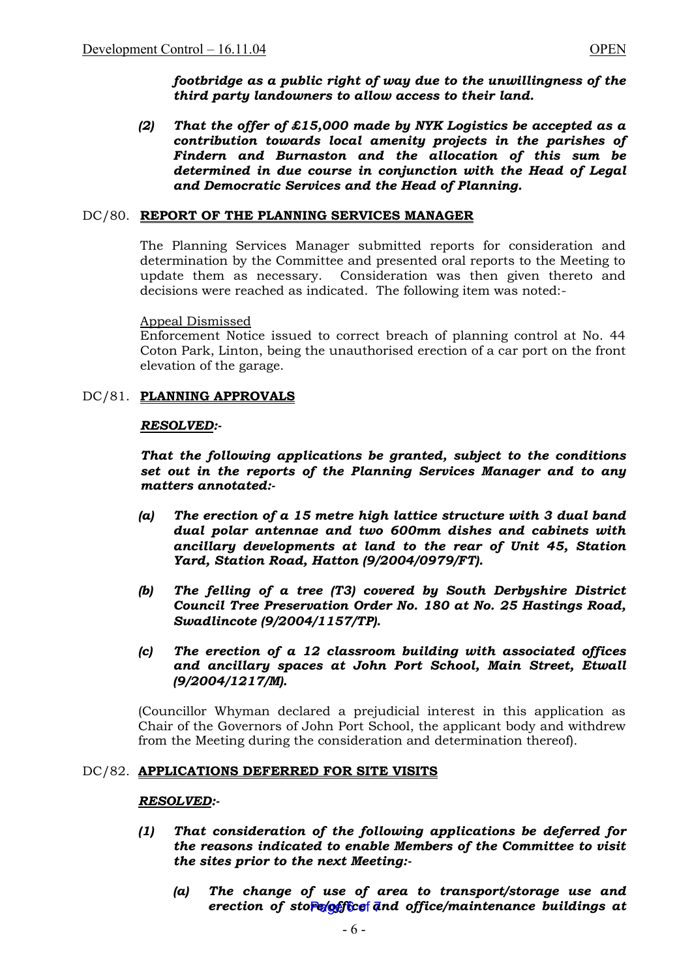*footbridge as a public right of way due to the unwillingness of the third party landowners to allow access to their land.* 

 *(2) That the offer of £15,000 made by NYK Logistics be accepted as a contribution towards local amenity projects in the parishes of Findern and Burnaston and the allocation of this sum be determined in due course in conjunction with the Head of Legal and Democratic Services and the Head of Planning.* 

### DC/80. **REPORT OF THE PLANNING SERVICES MANAGER**

The Planning Services Manager submitted reports for consideration and determination by the Committee and presented oral reports to the Meeting to update them as necessary. Consideration was then given thereto and decisions were reached as indicated. The following item was noted:-

#### Appeal Dismissed

Enforcement Notice issued to correct breach of planning control at No. 44 Coton Park, Linton, being the unauthorised erection of a car port on the front elevation of the garage.

## DC/81. **PLANNING APPROVALS**

### *RESOLVED:-*

*That the following applications be granted, subject to the conditions set out in the reports of the Planning Services Manager and to any matters annotated:-* 

- *(a) The erection of a 15 metre high lattice structure with 3 dual band dual polar antennae and two 600mm dishes and cabinets with ancillary developments at land to the rear of Unit 45, Station Yard, Station Road, Hatton (9/2004/0979/FT).*
- *(b) The felling of a tree (T3) covered by South Derbyshire District Council Tree Preservation Order No. 180 at No. 25 Hastings Road, Swadlincote (9/2004/1157/TP).*
- *(c) The erection of a 12 classroom building with associated offices and ancillary spaces at John Port School, Main Street, Etwall (9/2004/1217/M).*

(Councillor Whyman declared a prejudicial interest in this application as Chair of the Governors of John Port School, the applicant body and withdrew from the Meeting during the consideration and determination thereof).

#### DC/82. **APPLICATIONS DEFERRED FOR SITE VISITS**

#### *RESOLVED:-*

- *(1) That consideration of the following applications be deferred for the reasons indicated to enable Members of the Committee to visit the sites prior to the next Meeting:-* 
	- *(a) The change of use of area to transport/storage use and*  erection of store/office and office/maintenance buildings at